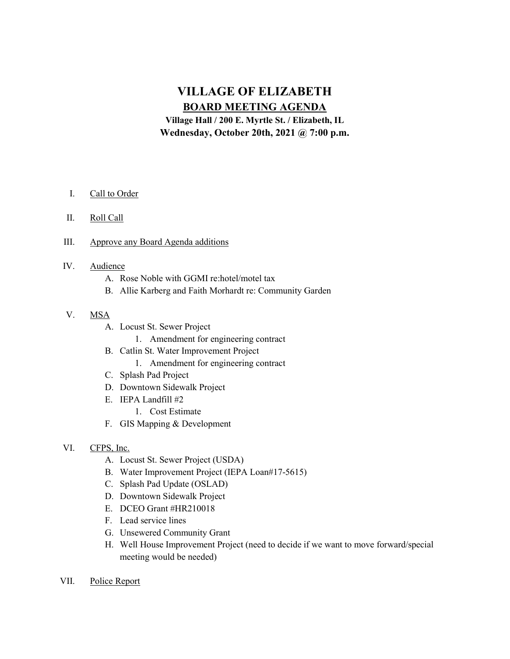# VILLAGE OF ELIZABETH BOARD MEETING AGENDA

Village Hall / 200 E. Myrtle St. / Elizabeth, IL Wednesday, October 20th, 2021 @ 7:00 p.m.

- I. Call to Order
- II. Roll Call
- III. Approve any Board Agenda additions
- IV. Audience
	- A. Rose Noble with GGMI re:hotel/motel tax
	- B. Allie Karberg and Faith Morhardt re: Community Garden
- V. MSA
	- A. Locust St. Sewer Project
		- 1. Amendment for engineering contract
	- B. Catlin St. Water Improvement Project
		- 1. Amendment for engineering contract
	- C. Splash Pad Project
	- D. Downtown Sidewalk Project
	- E. IEPA Landfill #2
		- 1. Cost Estimate
	- F. GIS Mapping & Development
- VI. CFPS, Inc.
	- A. Locust St. Sewer Project (USDA)
	- B. Water Improvement Project (IEPA Loan#17-5615)
	- C. Splash Pad Update (OSLAD)
	- D. Downtown Sidewalk Project
	- E. DCEO Grant #HR210018
	- F. Lead service lines
	- G. Unsewered Community Grant
	- H. Well House Improvement Project (need to decide if we want to move forward/special meeting would be needed)
- VII. Police Report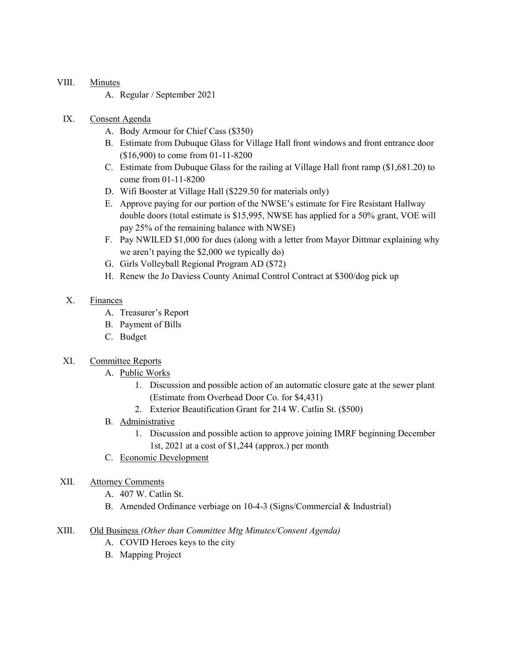## VIII. Minutes

A. Regular / September 2021

## IX. Consent Agenda

- A. Body Armour for Chief Cass (\$350)
- B. Estimate from Dubuque Glass for Village Hall front windows and front entrance door (\$16,900) to come from 01-11-8200
- C. Estimate from Dubuque Glass for the railing at Village Hall front ramp (\$1,681.20) to come from 01-11-8200
- D. Wifi Booster at Village Hall (\$229.50 for materials only)
- E. Approve paying for our portion of the NWSE's estimate for Fire Resistant Hallway double doors (total estimate is \$15,995, NWSE has applied for a 50% grant, VOE will pay 25% of the remaining balance with NWSE)
- F. Pay NWILED \$1,000 for dues (along with a letter from Mayor Dittmar explaining why we aren't paying the \$2,000 we typically do)
- G. Girls Volleyball Regional Program AD (\$72)
- H. Renew the Jo Daviess County Animal Control Contract at \$300/dog pick up

## X. Finances

- A. Treasurer's Report
- B. Payment of Bills
- C. Budget

#### XI. Committee Reports

- A. Public Works
	- 1. Discussion and possible action of an automatic closure gate at the sewer plant (Estimate from Overhead Door Co. for \$4,431)
	- 2. Exterior Beautification Grant for 214 W. Catlin St. (\$500)

# B. Administrative

- 1. Discussion and possible action to approve joining IMRF beginning December 1st, 2021 at a cost of \$1,244 (approx.) per month
- C. Economic Development

# XII. Attorney Comments

- A. 407 W. Catlin St.
- B. Amended Ordinance verbiage on 10-4-3 (Signs/Commercial & Industrial)

# XIII. Old Business (Other than Committee Mtg Minutes/Consent Agenda)

- A. COVID Heroes keys to the city
- B. Mapping Project